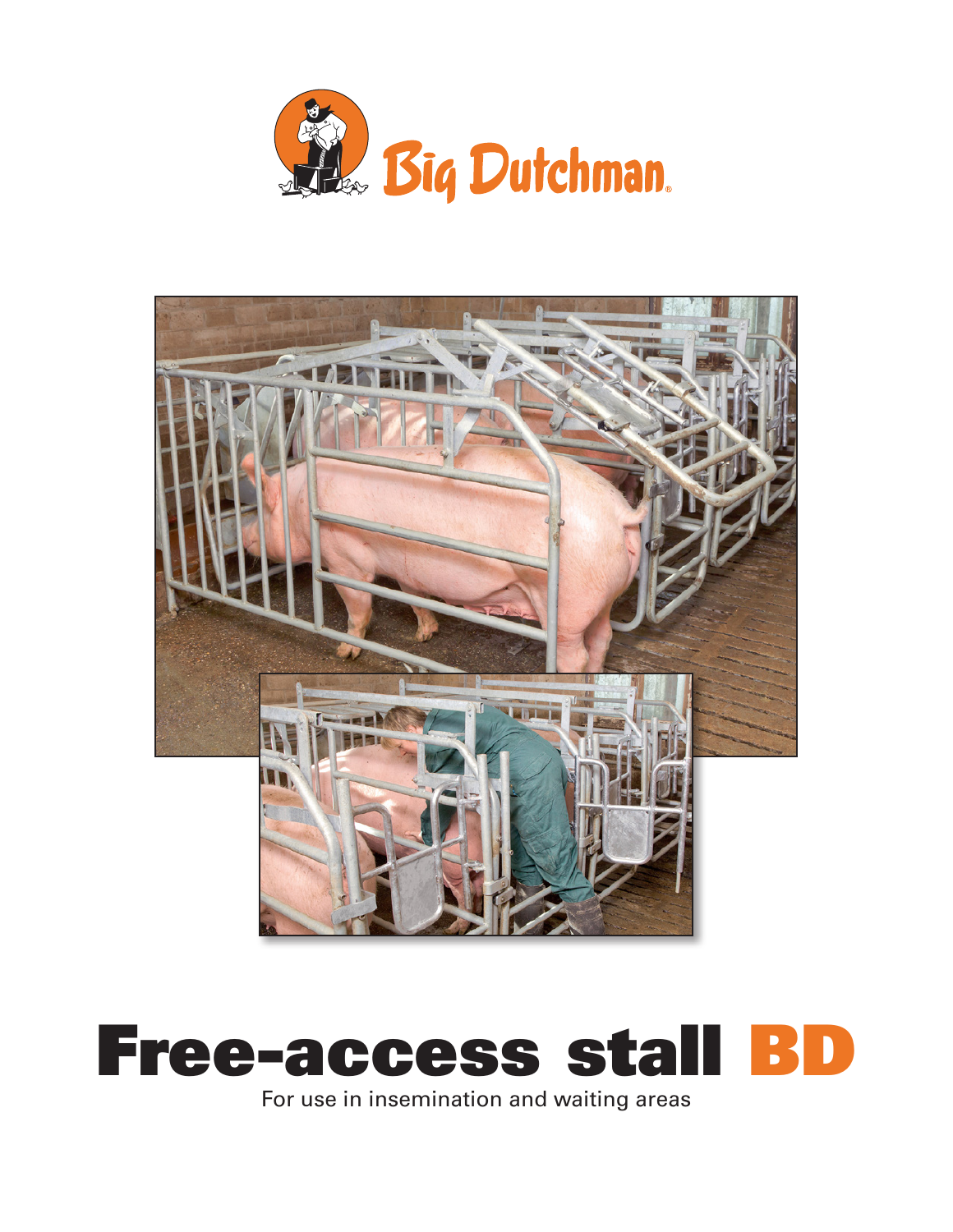